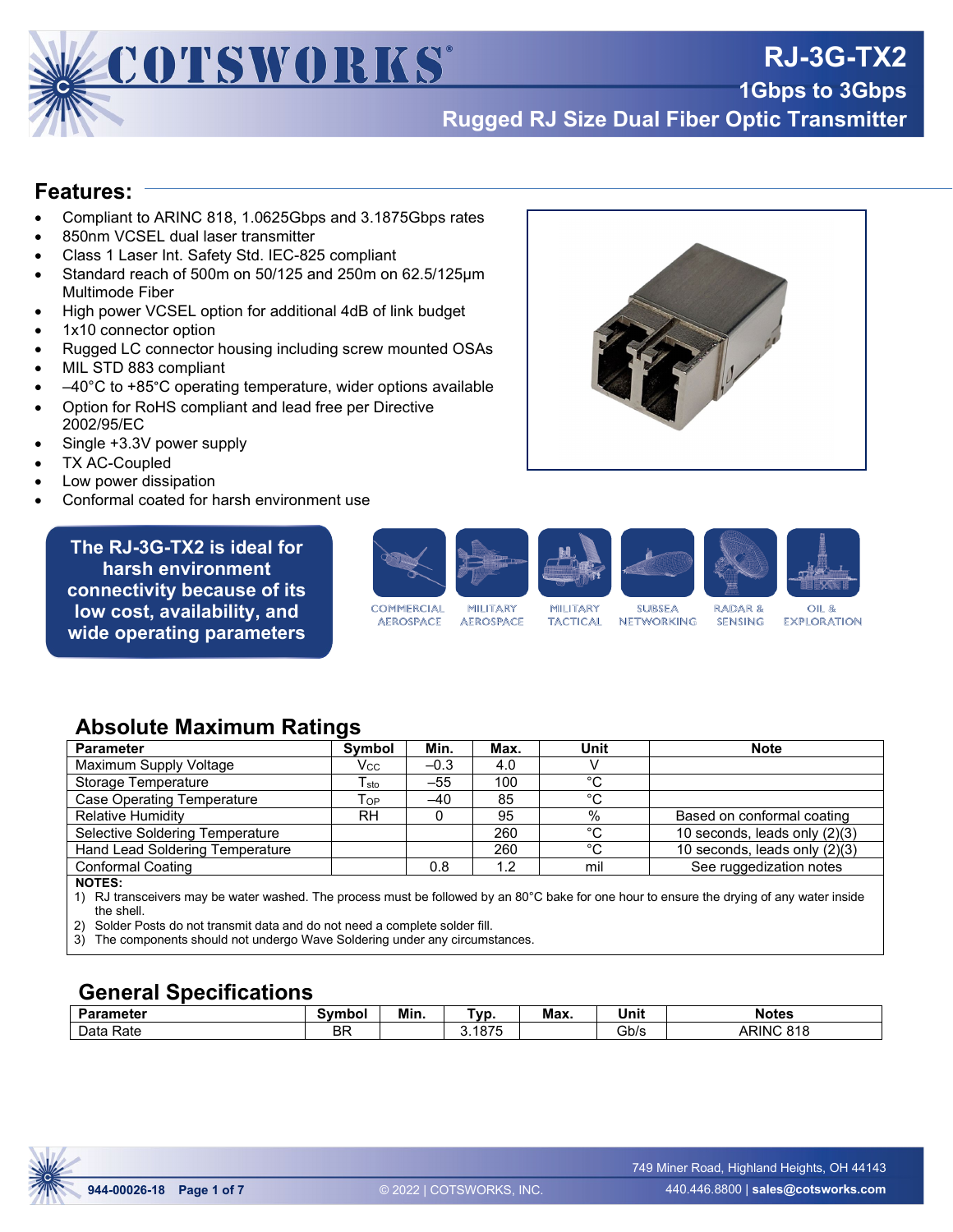

**Rugged RJ Size Dual Fiber Optic Transmitter**

#### **Features:**

• Compliant to ARINC 818, 1.0625Gbps and 3.1875Gbps rates

COTSWORKS®

- 850nm VCSEL dual laser transmitter
- Class 1 Laser Int. Safety Std. IEC-825 compliant
- Standard reach of 500m on 50/125 and 250m on 62.5/125µm Multimode Fiber
- High power VCSEL option for additional 4dB of link budget
- 1x10 connector option
- Rugged LC connector housing including screw mounted OSAs
- MIL STD 883 compliant
- $-40^{\circ}$ C to +85 $^{\circ}$ C operating temperature, wider options available
- Option for RoHS compliant and lead free per Directive 2002/95/EC
- Single +3.3V power supply
- **TX AC-Coupled**
- Low power dissipation
- Conformal coated for harsh environment use

**The RJ-3G-TX2 is ideal for harsh environment connectivity because of its low cost, availability, and wide operating parameters**



**AEROSPACE** 

**AEROSPACE** 

**TACTICAL** 

**SUBSEA NETWORKING SENSING**  OIL &

**EXPLORATION** 

#### **Absolute Maximum Ratings**

| <b>Parameter</b>                | <b>Symbol</b>               | Min.   | Max. | Unit | <b>Note</b>                   |
|---------------------------------|-----------------------------|--------|------|------|-------------------------------|
| Maximum Supply Voltage          | Vcc                         | $-0.3$ | 4.0  |      |                               |
| Storage Temperature             | $\mathsf{T}_{\mathsf{sto}}$ | $-55$  | 100  | °C   |                               |
| Case Operating Temperature      | Top                         | $-40$  | 85   | °C   |                               |
| <b>Relative Humidity</b>        | RH.                         |        | 95   | %    | Based on conformal coating    |
| Selective Soldering Temperature |                             |        | 260  | °C   | 10 seconds, leads only (2)(3) |
| Hand Lead Soldering Temperature |                             |        | 260  | °C   | 10 seconds, leads only (2)(3) |
| <b>Conformal Coating</b>        |                             | 0.8    | 1.2  | mil  | See ruggedization notes       |
| <b>NOTES:</b>                   |                             |        |      |      |                               |

**NOTES:** 

1) RJ transceivers may be water washed. The process must be followed by an 80°C bake for one hour to ensure the drying of any water inside the shell.

2) Solder Posts do not transmit data and do not need a complete solder fill.

3) The components should not undergo Wave Soldering under any circumstances.

#### **General Specifications**

| Parameter    | Symbol    | Min. | VD.          | Max. | .<br>Unit | <b>Notes</b> |
|--------------|-----------|------|--------------|------|-----------|--------------|
| Rate<br>Data | <b>BF</b> |      | 1075<br>1875 |      | Gb/s      | ARINC 818    |

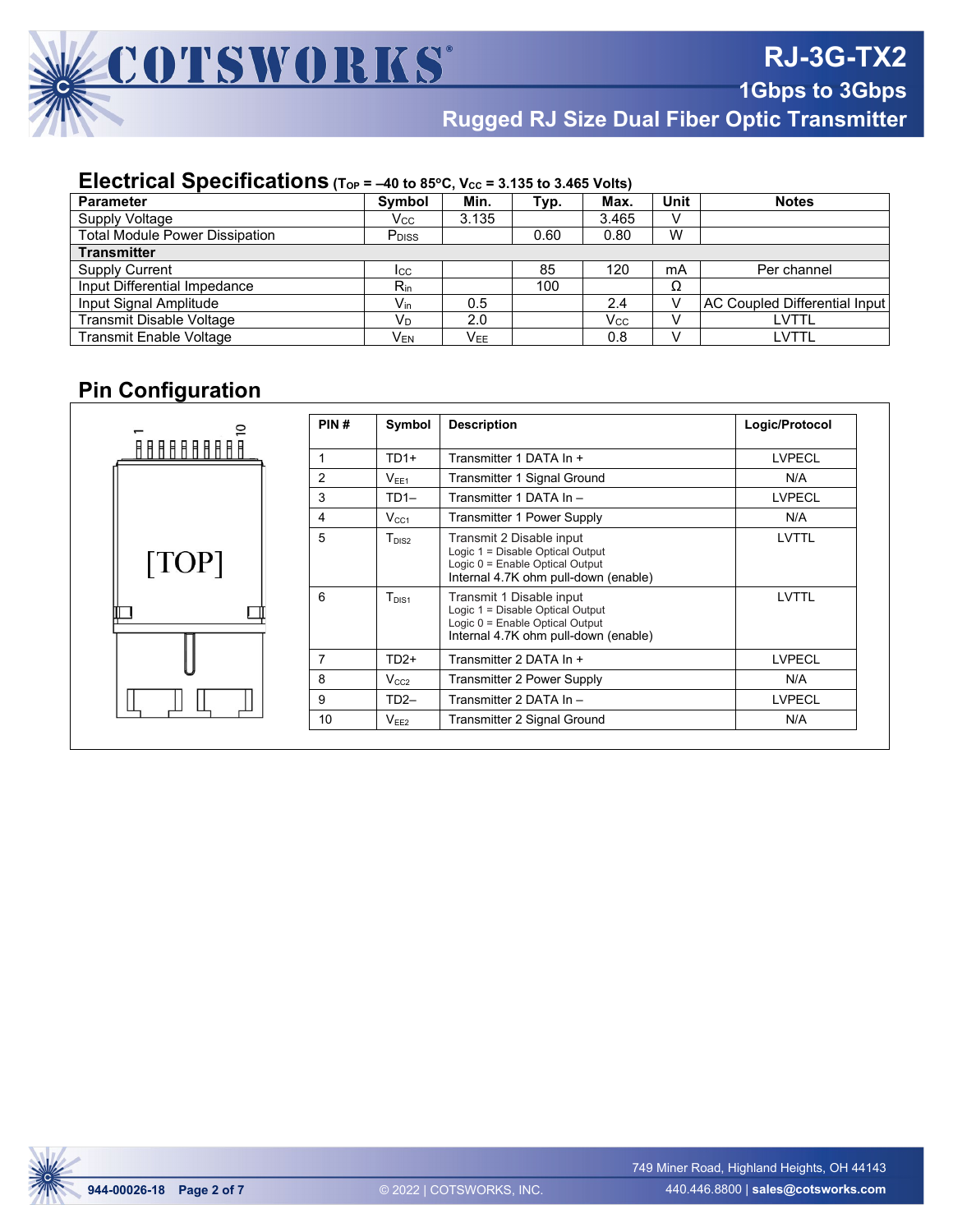

**Rugged RJ Size Dual Fiber Optic Transmitter**

#### **Electrical Specifications** (Top = -40 to 85°C, Vcc = 3.135 to 3.465 Volts)

| <b>Parameter</b>                      | <b>Symbol</b>              | Min.            | Typ. | Max.  | Unit | <b>Notes</b>                         |  |  |  |
|---------------------------------------|----------------------------|-----------------|------|-------|------|--------------------------------------|--|--|--|
| Supply Voltage                        | Vcc                        | 3.135           |      | 3.465 | v    |                                      |  |  |  |
| <b>Total Module Power Dissipation</b> | P <sub>DISS</sub>          |                 | 0.60 | 0.80  | W    |                                      |  |  |  |
| <b>Transmitter</b>                    |                            |                 |      |       |      |                                      |  |  |  |
| <b>Supply Current</b>                 | <b>I</b> CC                |                 | 85   | 120   | mA   | Per channel                          |  |  |  |
| Input Differential Impedance          | $R_{\rm in}$               |                 | 100  |       | Ω    |                                      |  |  |  |
| Input Signal Amplitude                | $\mathsf{V}_{\mathsf{in}}$ | 0.5             |      | 2.4   |      | <b>AC Coupled Differential Input</b> |  |  |  |
| Transmit Disable Voltage              | $V_D$                      | 2.0             |      | Vcc   |      | LVTTL                                |  |  |  |
| <b>Transmit Enable Voltage</b>        | V <sub>EN</sub>            | V <sub>EE</sub> |      | 0.8   |      | LVTTL                                |  |  |  |

# **Pin Configuration**

|       | PIN# | Symbol            | <b>Description</b>                                                                                                                      | Logic/Protocol |
|-------|------|-------------------|-----------------------------------------------------------------------------------------------------------------------------------------|----------------|
|       |      |                   |                                                                                                                                         |                |
|       |      | $TD1+$            | Transmitter 1 DATA In +                                                                                                                 | <b>LVPECL</b>  |
|       | 2    | $V_{FF1}$         | Transmitter 1 Signal Ground                                                                                                             | N/A            |
|       | 3    | $TD1-$            | Transmitter 1 DATA In -                                                                                                                 | <b>LVPECL</b>  |
|       | 4    | $V_{CC1}$         | <b>Transmitter 1 Power Supply</b>                                                                                                       | N/A            |
| [TOP] | 5    | T <sub>DIS2</sub> | Transmit 2 Disable input<br>Logic 1 = Disable Optical Output<br>Logic 0 = Enable Optical Output<br>Internal 4.7K ohm pull-down (enable) | LVTTL          |
|       | 6    | $T_{DIS1}$        | Transmit 1 Disable input<br>Logic 1 = Disable Optical Output<br>Logic 0 = Enable Optical Output<br>Internal 4.7K ohm pull-down (enable) | LVTTL          |
|       |      | $TD2+$            | Transmitter 2 DATA In +                                                                                                                 | <b>LVPECL</b>  |
|       | 8    | $V_{CC2}$         | Transmitter 2 Power Supply                                                                                                              | N/A            |
|       | 9    | $TD2-$            | Transmitter 2 DATA In -                                                                                                                 | <b>LVPECL</b>  |
|       | 10   | V <sub>EE2</sub>  | Transmitter 2 Signal Ground                                                                                                             | N/A            |

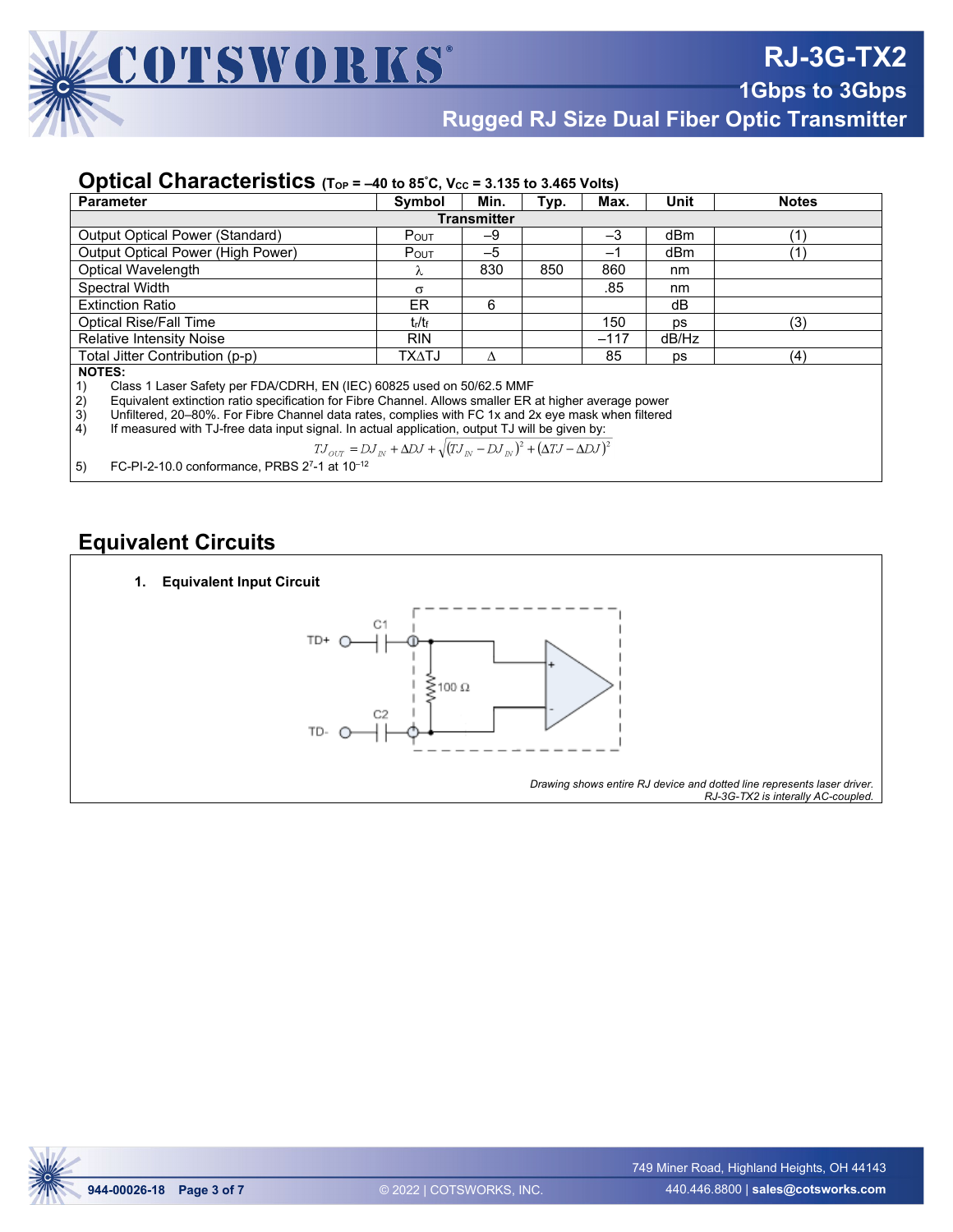

**Rugged RJ Size Dual Fiber Optic Transmitter**

#### **Optical Characteristics** (Top = -40 to 85°C, Vcc = 3.135 to 3.465 Volts)

| <b>Parameter</b>                                                                                             | Symbol       | Min. | Typ. | Max.   | Unit  | <b>Notes</b> |  |  |  |
|--------------------------------------------------------------------------------------------------------------|--------------|------|------|--------|-------|--------------|--|--|--|
| <b>Transmitter</b>                                                                                           |              |      |      |        |       |              |  |  |  |
| <b>Output Optical Power (Standard)</b>                                                                       | $P_{OUT}$    | $-9$ |      | $-3$   | dBm   |              |  |  |  |
| <b>Output Optical Power (High Power)</b>                                                                     | POUT         | $-5$ |      | $-1$   | dBm   |              |  |  |  |
| Optical Wavelength                                                                                           | λ            | 830  | 850  | 860    | nm    |              |  |  |  |
| Spectral Width                                                                                               | $\sigma$     |      |      | .85    | nm    |              |  |  |  |
| ER.<br>6<br><b>Extinction Ratio</b><br>dВ                                                                    |              |      |      |        |       |              |  |  |  |
| <b>Optical Rise/Fall Time</b>                                                                                | tr/tr        |      |      | 150    | ps    | (3)          |  |  |  |
| <b>Relative Intensity Noise</b>                                                                              | <b>RIN</b>   |      |      | $-117$ | dB/Hz |              |  |  |  |
| Total Jitter Contribution (p-p)                                                                              | <b>TXATJ</b> | Λ    |      | 85     | ps    | (4)          |  |  |  |
| <b>NOTES:</b>                                                                                                |              |      |      |        |       |              |  |  |  |
| Class 1 Laser Safety per FDA/CDRH, EN (IEC) 60825 used on 50/62.5 MMF<br>1)                                  |              |      |      |        |       |              |  |  |  |
| 2)<br>Equivalent extinction ratio specification for Fibre Channel. Allows smaller ER at higher average power |              |      |      |        |       |              |  |  |  |
| 3)<br>Unfiltered, 20–80%. For Fibre Channel data rates, complies with FC 1x and 2x eye mask when filtered    |              |      |      |        |       |              |  |  |  |
| 4)<br>If measured with TJ-free data input signal. In actual application, output TJ will be given by:         |              |      |      |        |       |              |  |  |  |
| $TJ_{OUT} = DJ_{IN} + \Delta DJ + \sqrt{(TJ_{IN} - DJ_{IN})^2 + (\Delta TJ - \Delta DJ)^2}$                  |              |      |      |        |       |              |  |  |  |

 $^{15}$  our  $^{-1}$   $^{15}$  our  $^{-1}$   $^{15}$  our  $^{-1}$   $^{-1}$   $^{-1}$   $^{-1}$   $^{-1}$   $^{-1}$   $^{-1}$   $^{-1}$   $^{-1}$   $^{-1}$   $^{-1}$   $^{-1}$   $^{-1}$   $^{-1}$   $^{-1}$   $^{-1}$   $^{-1}$   $^{-1}$   $^{-1}$   $^{-1}$   $^{-1}$   $^{-1}$   $^{-1}$   $^{-1}$   $^{-1}$   $^{-1}$   $^{-1}$   $^{-1}$   $^{-1}$   $^{-$ 

#### **Equivalent Circuits**

# **1. Equivalent Input Circuit** TD+ ⋚ 100 $\Omega$ TD- $\subset$ *Drawing shows entire RJ device and dotted line represents laser driver. RJ-3G-TX2 is interally AC-coupled.*

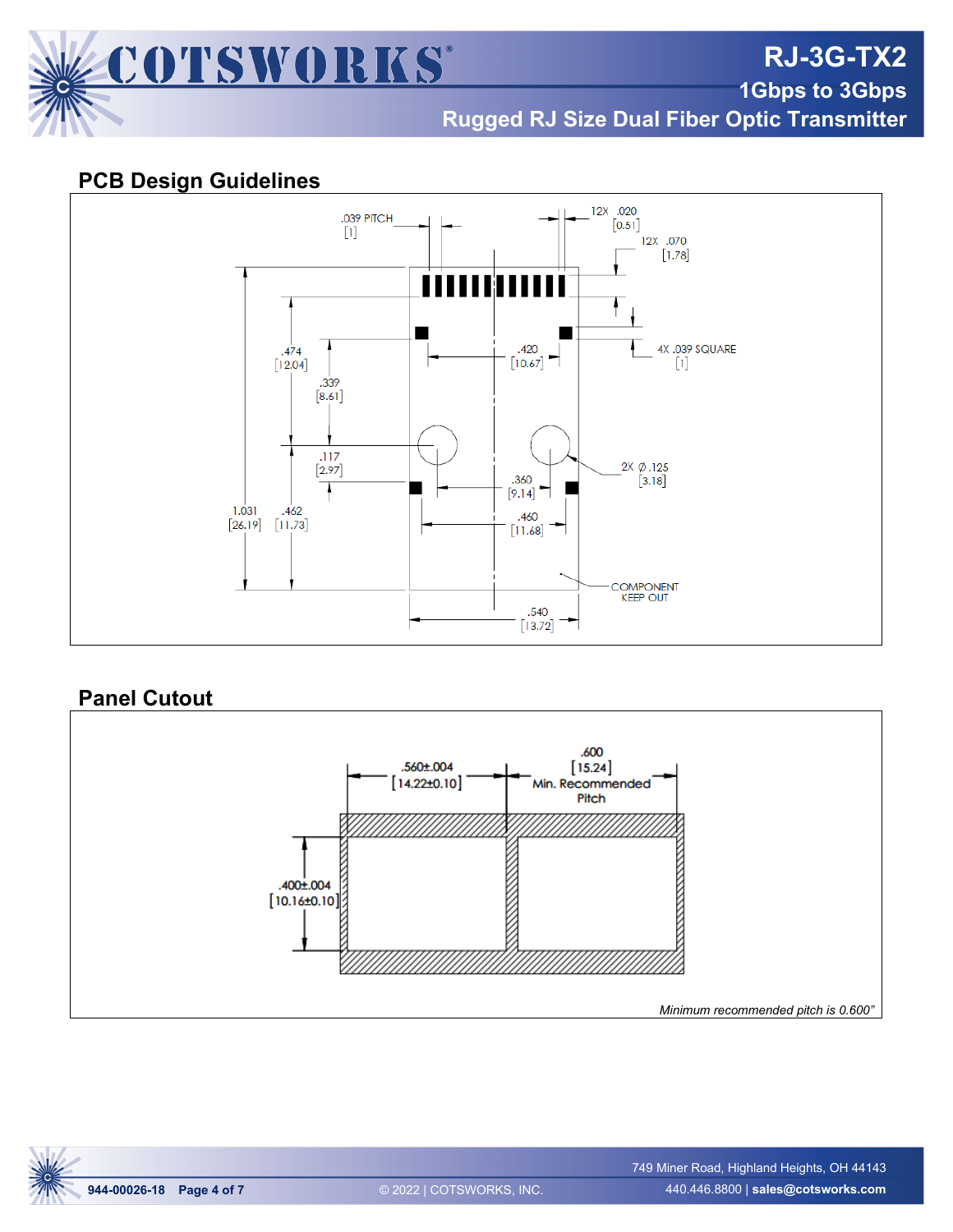

**RJ-3G-TX2**

**1Gbps to 3Gbps**

**Rugged RJ Size Dual Fiber Optic Transmitter**

## **PCB Design Guidelines**



#### **Panel Cutout**



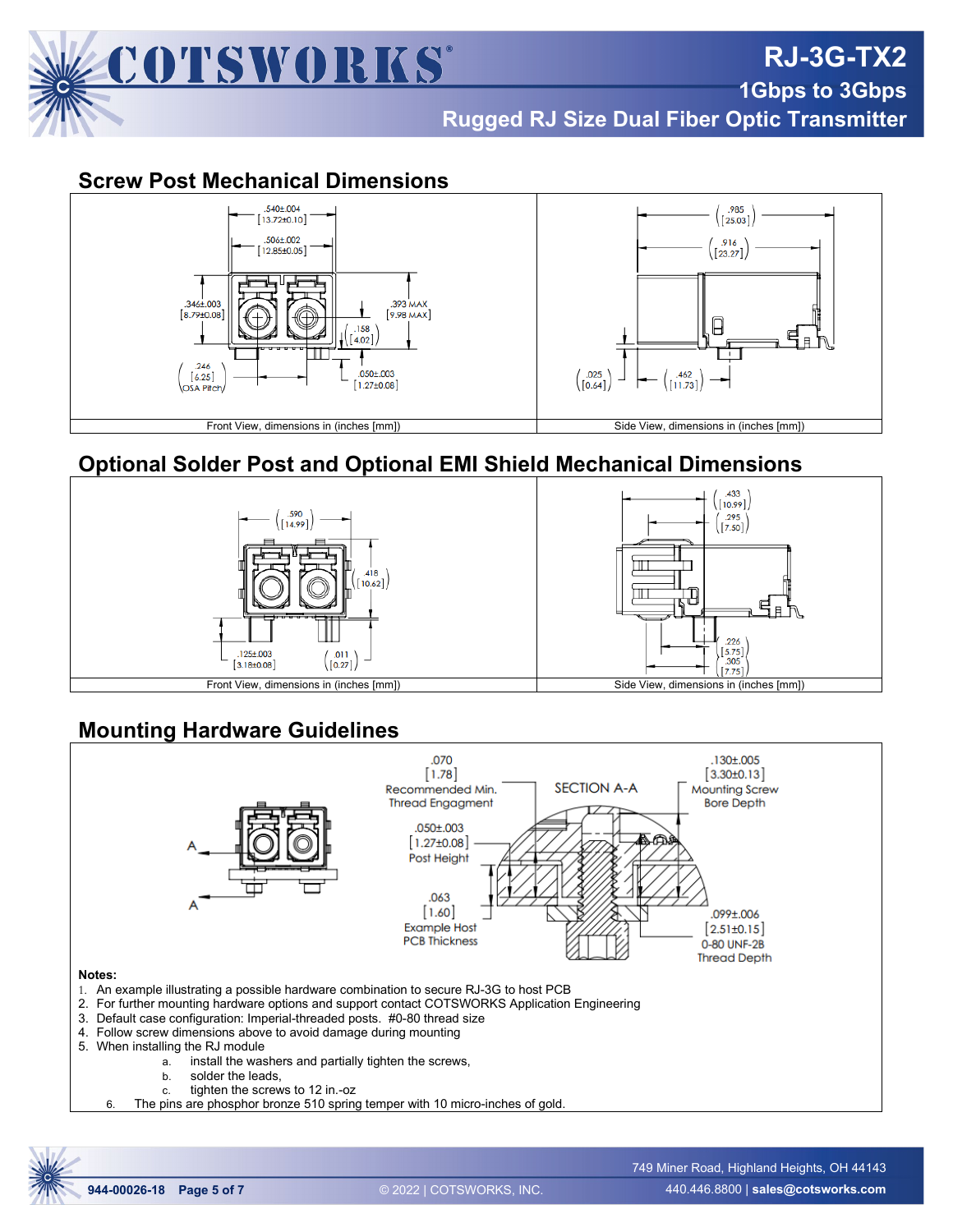

**1Gbps to 3Gbps Rugged RJ Size Dual Fiber Optic Transmitter**

**RJ-3G-TX2**

#### **Screw Post Mechanical Dimensions**



# **Optional Solder Post and Optional EMI Shield Mechanical Dimensions**



# **Mounting Hardware Guidelines**

![](_page_4_Figure_7.jpeg)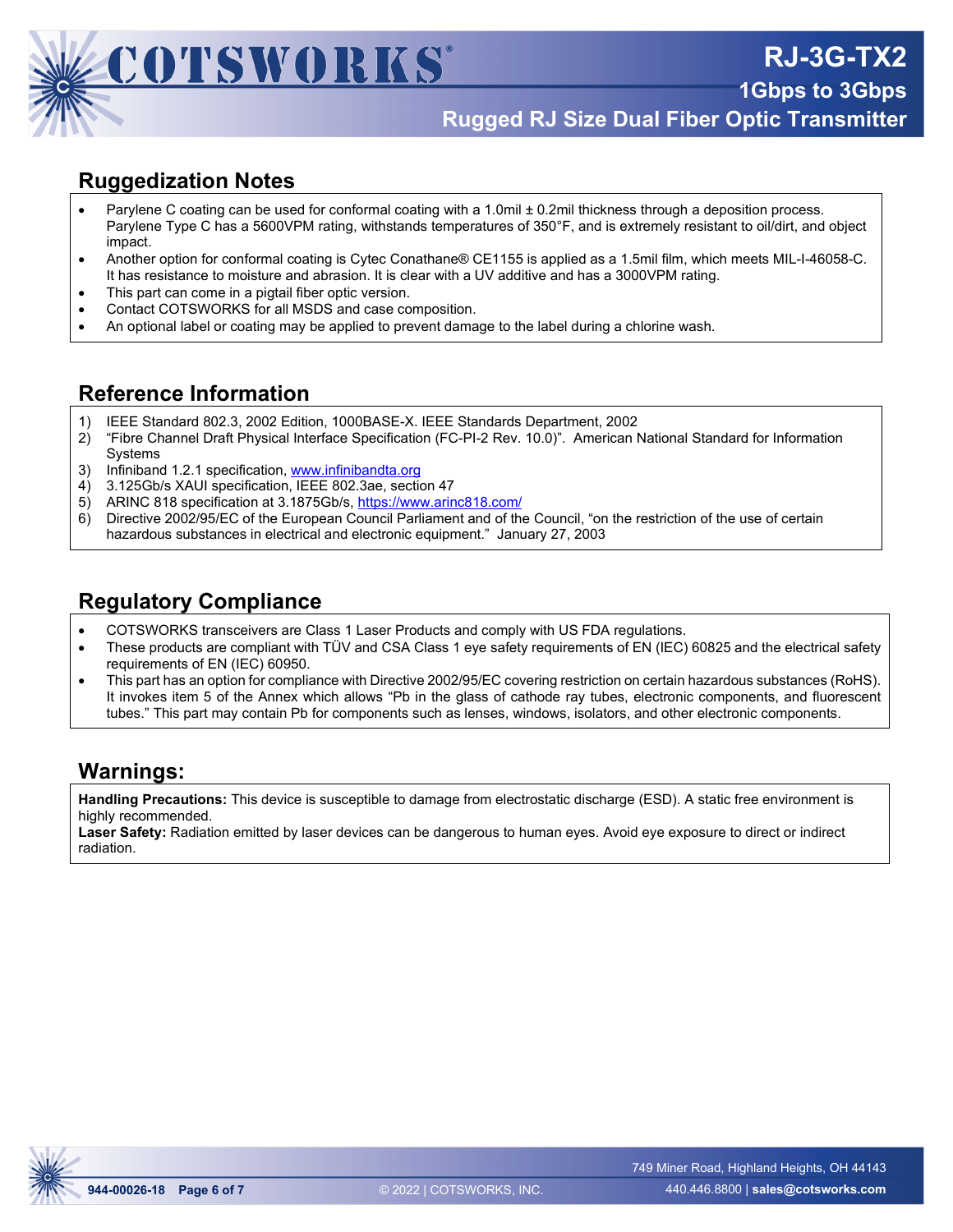![](_page_5_Picture_0.jpeg)

**1Gbps to 3Gbps Rugged RJ Size Dual Fiber Optic Transmitter**

**RJ-3G-TX2**

## **Ruggedization Notes**

- Parylene C coating can be used for conformal coating with a 1.0mil ± 0.2mil thickness through a deposition process. Parylene Type C has a 5600VPM rating, withstands temperatures of 350°F, and is extremely resistant to oil/dirt, and object impact.
- Another option for conformal coating is Cytec Conathane® CE1155 is applied as a 1.5mil film, which meets MIL-I-46058-C. It has resistance to moisture and abrasion. It is clear with a UV additive and has a 3000VPM rating.
- This part can come in a pigtail fiber optic version.
- Contact COTSWORKS for all MSDS and case composition.
- An optional label or coating may be applied to prevent damage to the label during a chlorine wash.

#### **Reference Information**

- 1) IEEE Standard 802.3, 2002 Edition, 1000BASE-X. IEEE Standards Department, 2002
- 2) "Fibre Channel Draft Physical Interface Specification (FC-PI-2 Rev. 10.0)". American National Standard for Information Systems
- 3) Infiniband 1.2.1 specification, [www.infinibandta.org](http://www.infinibandta.org/)
- 4) 3.125Gb/s XAUI specification, IEEE 802.3ae, section 47
- 5) ARINC 818 specification at 3.1875Gb/s,<https://www.arinc818.com/>
- 6) Directive 2002/95/EC of the European Council Parliament and of the Council, "on the restriction of the use of certain hazardous substances in electrical and electronic equipment." January 27, 2003

# **Regulatory Compliance**

- COTSWORKS transceivers are Class 1 Laser Products and comply with US FDA regulations.
- These products are compliant with TÜV and CSA Class 1 eye safety requirements of EN (IEC) 60825 and the electrical safety requirements of EN (IEC) 60950.
- This part has an option for compliance with Directive 2002/95/EC covering restriction on certain hazardous substances (RoHS). It invokes item 5 of the Annex which allows "Pb in the glass of cathode ray tubes, electronic components, and fluorescent tubes." This part may contain Pb for components such as lenses, windows, isolators, and other electronic components.

#### **Warnings:**

**Handling Precautions:** This device is susceptible to damage from electrostatic discharge (ESD). A static free environment is highly recommended.

**Laser Safety:** Radiation emitted by laser devices can be dangerous to human eyes. Avoid eye exposure to direct or indirect radiation.

![](_page_5_Picture_22.jpeg)